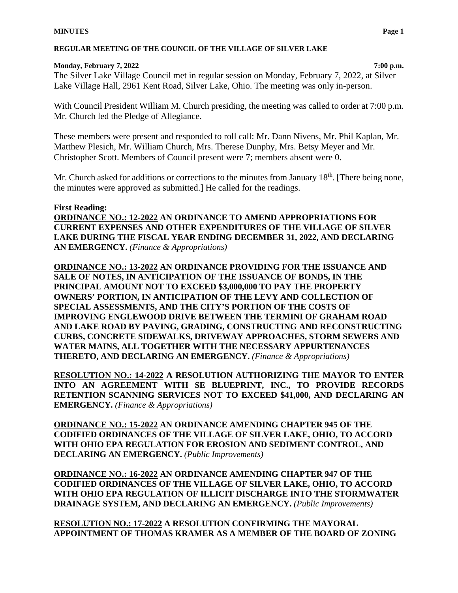### **Monday, February 7, 2022 7:00 p.m.**

The Silver Lake Village Council met in regular session on Monday, February 7, 2022, at Silver Lake Village Hall, 2961 Kent Road, Silver Lake, Ohio. The meeting was only in-person.

With Council President William M. Church presiding, the meeting was called to order at 7:00 p.m. Mr. Church led the Pledge of Allegiance.

These members were present and responded to roll call: Mr. Dann Nivens, Mr. Phil Kaplan, Mr. Matthew Plesich, Mr. William Church, Mrs. Therese Dunphy, Mrs. Betsy Meyer and Mr. Christopher Scott. Members of Council present were 7; members absent were 0.

Mr. Church asked for additions or corrections to the minutes from January 18<sup>th</sup>. [There being none, the minutes were approved as submitted.] He called for the readings.

## **First Reading:**

**ORDINANCE NO.: 12-2022 AN ORDINANCE TO AMEND APPROPRIATIONS FOR CURRENT EXPENSES AND OTHER EXPENDITURES OF THE VILLAGE OF SILVER LAKE DURING THE FISCAL YEAR ENDING DECEMBER 31, 2022, AND DECLARING AN EMERGENCY.** *(Finance & Appropriations)*

**ORDINANCE NO.: 13-2022 AN ORDINANCE PROVIDING FOR THE ISSUANCE AND SALE OF NOTES, IN ANTICIPATION OF THE ISSUANCE OF BONDS, IN THE PRINCIPAL AMOUNT NOT TO EXCEED \$3,000,000 TO PAY THE PROPERTY OWNERS' PORTION, IN ANTICIPATION OF THE LEVY AND COLLECTION OF SPECIAL ASSESSMENTS, AND THE CITY'S PORTION OF THE COSTS OF IMPROVING ENGLEWOOD DRIVE BETWEEN THE TERMINI OF GRAHAM ROAD AND LAKE ROAD BY PAVING, GRADING, CONSTRUCTING AND RECONSTRUCTING CURBS, CONCRETE SIDEWALKS, DRIVEWAY APPROACHES, STORM SEWERS AND WATER MAINS, ALL TOGETHER WITH THE NECESSARY APPURTENANCES THERETO, AND DECLARING AN EMERGENCY.** *(Finance & Appropriations)*

**RESOLUTION NO.: 14-2022 A RESOLUTION AUTHORIZING THE MAYOR TO ENTER INTO AN AGREEMENT WITH SE BLUEPRINT, INC., TO PROVIDE RECORDS RETENTION SCANNING SERVICES NOT TO EXCEED \$41,000, AND DECLARING AN EMERGENCY.** *(Finance & Appropriations)*

**ORDINANCE NO.: 15-2022 AN ORDINANCE AMENDING CHAPTER 945 OF THE CODIFIED ORDINANCES OF THE VILLAGE OF SILVER LAKE, OHIO, TO ACCORD WITH OHIO EPA REGULATION FOR EROSION AND SEDIMENT CONTROL, AND DECLARING AN EMERGENCY.** *(Public Improvements)*

**ORDINANCE NO.: 16-2022 AN ORDINANCE AMENDING CHAPTER 947 OF THE CODIFIED ORDINANCES OF THE VILLAGE OF SILVER LAKE, OHIO, TO ACCORD WITH OHIO EPA REGULATION OF ILLICIT DISCHARGE INTO THE STORMWATER DRAINAGE SYSTEM, AND DECLARING AN EMERGENCY.** *(Public Improvements)*

**RESOLUTION NO.: 17-2022 A RESOLUTION CONFIRMING THE MAYORAL APPOINTMENT OF THOMAS KRAMER AS A MEMBER OF THE BOARD OF ZONING**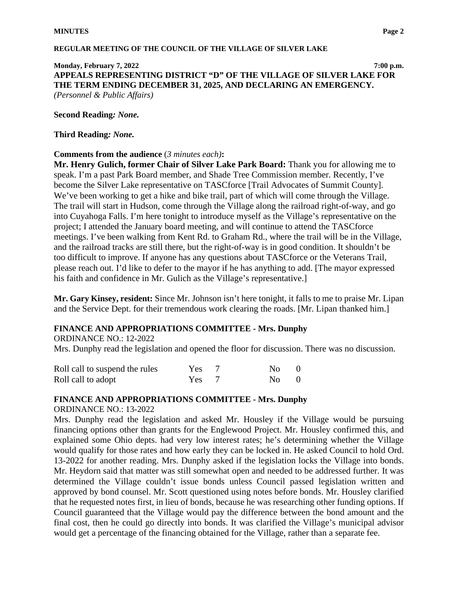**Monday, February 7, 2022 7:00 p.m. APPEALS REPRESENTING DISTRICT "D" OF THE VILLAGE OF SILVER LAKE FOR THE TERM ENDING DECEMBER 31, 2025, AND DECLARING AN EMERGENCY.**  *(Personnel & Public Affairs)*

**Second Reading***: None.*

**Third Reading***: None.*

## **Comments from the audience** (*3 minutes each)***:**

**Mr. Henry Gulich, former Chair of Silver Lake Park Board:** Thank you for allowing me to speak. I'm a past Park Board member, and Shade Tree Commission member. Recently, I've become the Silver Lake representative on TASCforce [Trail Advocates of Summit County]. We've been working to get a hike and bike trail, part of which will come through the Village. The trail will start in Hudson, come through the Village along the railroad right-of-way, and go into Cuyahoga Falls. I'm here tonight to introduce myself as the Village's representative on the project; I attended the January board meeting, and will continue to attend the TASCforce meetings. I've been walking from Kent Rd. to Graham Rd., where the trail will be in the Village, and the railroad tracks are still there, but the right-of-way is in good condition. It shouldn't be too difficult to improve. If anyone has any questions about TASCforce or the Veterans Trail, please reach out. I'd like to defer to the mayor if he has anything to add. [The mayor expressed his faith and confidence in Mr. Gulich as the Village's representative.

**Mr. Gary Kinsey, resident:** Since Mr. Johnson isn't here tonight, it falls to me to praise Mr. Lipan and the Service Dept. for their tremendous work clearing the roads. [Mr. Lipan thanked him.]

## **FINANCE AND APPROPRIATIONS COMMITTEE - Mrs. Dunphy**

ORDINANCE NO.: 12-2022

Mrs. Dunphy read the legislation and opened the floor for discussion. There was no discussion.

| Roll call to suspend the rules | Yes 7      | $N0$ 0 |  |
|--------------------------------|------------|--------|--|
| Roll call to adopt             | $Yes \t 7$ | $N0$ 0 |  |

## **FINANCE AND APPROPRIATIONS COMMITTEE - Mrs. Dunphy**

ORDINANCE NO.: 13-2022

Mrs. Dunphy read the legislation and asked Mr. Housley if the Village would be pursuing financing options other than grants for the Englewood Project. Mr. Housley confirmed this, and explained some Ohio depts. had very low interest rates; he's determining whether the Village would qualify for those rates and how early they can be locked in. He asked Council to hold Ord. 13-2022 for another reading. Mrs. Dunphy asked if the legislation locks the Village into bonds. Mr. Heydorn said that matter was still somewhat open and needed to be addressed further. It was determined the Village couldn't issue bonds unless Council passed legislation written and approved by bond counsel. Mr. Scott questioned using notes before bonds. Mr. Housley clarified that he requested notes first, in lieu of bonds, because he was researching other funding options. If Council guaranteed that the Village would pay the difference between the bond amount and the final cost, then he could go directly into bonds. It was clarified the Village's municipal advisor would get a percentage of the financing obtained for the Village, rather than a separate fee.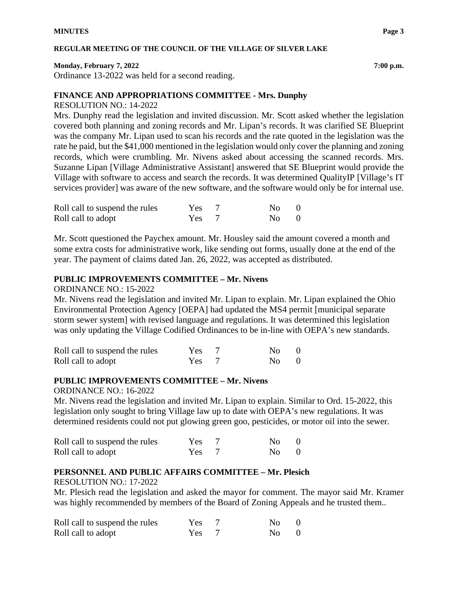### **Monday, February 7, 2022 7:00 p.m.**

Ordinance 13-2022 was held for a second reading.

## **FINANCE AND APPROPRIATIONS COMMITTEE - Mrs. Dunphy**

RESOLUTION NO.: 14-2022

Mrs. Dunphy read the legislation and invited discussion. Mr. Scott asked whether the legislation covered both planning and zoning records and Mr. Lipan's records. It was clarified SE Blueprint was the company Mr. Lipan used to scan his records and the rate quoted in the legislation was the rate he paid, but the \$41,000 mentioned in the legislation would only cover the planning and zoning records, which were crumbling. Mr. Nivens asked about accessing the scanned records. Mrs. Suzanne Lipan [Village Administrative Assistant] answered that SE Blueprint would provide the Village with software to access and search the records. It was determined QualityIP [Village's IT services provider] was aware of the new software, and the software would only be for internal use.

| Roll call to suspend the rules | Yes 7      | $N_O = 0$ |  |
|--------------------------------|------------|-----------|--|
| Roll call to adopt             | $Yes \t 7$ | $N_O$ ()  |  |

Mr. Scott questioned the Paychex amount. Mr. Housley said the amount covered a month and some extra costs for administrative work, like sending out forms, usually done at the end of the year. The payment of claims dated Jan. 26, 2022, was accepted as distributed.

## **PUBLIC IMPROVEMENTS COMMITTEE – Mr. Nivens**

ORDINANCE NO.: 15-2022

Mr. Nivens read the legislation and invited Mr. Lipan to explain. Mr. Lipan explained the Ohio Environmental Protection Agency [OEPA] had updated the MS4 permit [municipal separate storm sewer system] with revised language and regulations. It was determined this legislation was only updating the Village Codified Ordinances to be in-line with OEPA's new standards.

| Roll call to suspend the rules | $Yes \t 7$ | $N0$ 0 |  |
|--------------------------------|------------|--------|--|
| Roll call to adopt             | $Yes \t 7$ | $N0$ 0 |  |

## **PUBLIC IMPROVEMENTS COMMITTEE – Mr. Nivens**

ORDINANCE NO.: 16-2022

Mr. Nivens read the legislation and invited Mr. Lipan to explain. Similar to Ord. 15-2022, this legislation only sought to bring Village law up to date with OEPA's new regulations. It was determined residents could not put glowing green goo, pesticides, or motor oil into the sewer.

| Roll call to suspend the rules | $Yes \t 7$ | $N0$ 0            |  |
|--------------------------------|------------|-------------------|--|
| Roll call to adopt             | $Yes \t 7$ | $\mathrm{No} = 0$ |  |

## **PERSONNEL AND PUBLIC AFFAIRS COMMITTEE – Mr. Plesich**

RESOLUTION NO.: 17-2022

Mr. Plesich read the legislation and asked the mayor for comment. The mayor said Mr. Kramer was highly recommended by members of the Board of Zoning Appeals and he trusted them..

| Roll call to suspend the rules | $Yes \t 7$ | $N0$ 0 |  |
|--------------------------------|------------|--------|--|
| Roll call to adopt             | $Yes \t 7$ | $N0$ 0 |  |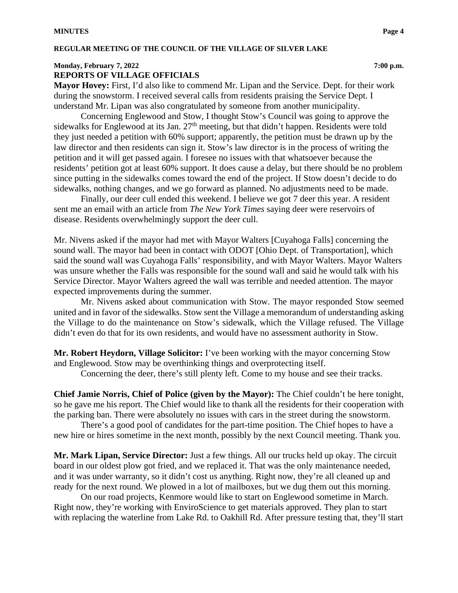# **Monday, February 7, 2022 7:00 p.m. REPORTS OF VILLAGE OFFICIALS**

**Mayor Hovey:** First, I'd also like to commend Mr. Lipan and the Service. Dept. for their work during the snowstorm. I received several calls from residents praising the Service Dept. I understand Mr. Lipan was also congratulated by someone from another municipality.

Concerning Englewood and Stow, I thought Stow's Council was going to approve the sidewalks for Englewood at its Jan. 27<sup>th</sup> meeting, but that didn't happen. Residents were told they just needed a petition with 60% support; apparently, the petition must be drawn up by the law director and then residents can sign it. Stow's law director is in the process of writing the petition and it will get passed again. I foresee no issues with that whatsoever because the residents' petition got at least 60% support. It does cause a delay, but there should be no problem since putting in the sidewalks comes toward the end of the project. If Stow doesn't decide to do sidewalks, nothing changes, and we go forward as planned. No adjustments need to be made.

Finally, our deer cull ended this weekend. I believe we got 7 deer this year. A resident sent me an email with an article from *The New York Times* saying deer were reservoirs of disease. Residents overwhelmingly support the deer cull.

Mr. Nivens asked if the mayor had met with Mayor Walters [Cuyahoga Falls] concerning the sound wall. The mayor had been in contact with ODOT [Ohio Dept. of Transportation], which said the sound wall was Cuyahoga Falls' responsibility, and with Mayor Walters. Mayor Walters was unsure whether the Falls was responsible for the sound wall and said he would talk with his Service Director. Mayor Walters agreed the wall was terrible and needed attention. The mayor expected improvements during the summer.

Mr. Nivens asked about communication with Stow. The mayor responded Stow seemed united and in favor of the sidewalks. Stow sent the Village a memorandum of understanding asking the Village to do the maintenance on Stow's sidewalk, which the Village refused. The Village didn't even do that for its own residents, and would have no assessment authority in Stow.

**Mr. Robert Heydorn, Village Solicitor:** I've been working with the mayor concerning Stow and Englewood. Stow may be overthinking things and overprotecting itself.

Concerning the deer, there's still plenty left. Come to my house and see their tracks.

**Chief Jamie Norris, Chief of Police (given by the Mayor):** The Chief couldn't be here tonight, so he gave me his report. The Chief would like to thank all the residents for their cooperation with the parking ban. There were absolutely no issues with cars in the street during the snowstorm.

There's a good pool of candidates for the part-time position. The Chief hopes to have a new hire or hires sometime in the next month, possibly by the next Council meeting. Thank you.

**Mr. Mark Lipan, Service Director:** Just a few things. All our trucks held up okay. The circuit board in our oldest plow got fried, and we replaced it. That was the only maintenance needed, and it was under warranty, so it didn't cost us anything. Right now, they're all cleaned up and ready for the next round. We plowed in a lot of mailboxes, but we dug them out this morning.

On our road projects, Kenmore would like to start on Englewood sometime in March. Right now, they're working with EnviroScience to get materials approved. They plan to start with replacing the waterline from Lake Rd. to Oakhill Rd. After pressure testing that, they'll start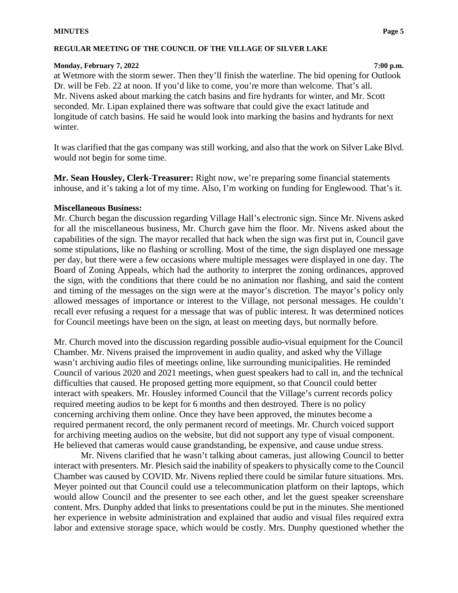#### **MINUTES Page 5**

#### **REGULAR MEETING OF THE COUNCIL OF THE VILLAGE OF SILVER LAKE**

### **Monday, February 7, 2022 7:00 p.m.**

at Wetmore with the storm sewer. Then they'll finish the waterline. The bid opening for Outlook Dr. will be Feb. 22 at noon. If you'd like to come, you're more than welcome. That's all. Mr. Nivens asked about marking the catch basins and fire hydrants for winter, and Mr. Scott seconded. Mr. Lipan explained there was software that could give the exact latitude and longitude of catch basins. He said he would look into marking the basins and hydrants for next winter.

It was clarified that the gas company was still working, and also that the work on Silver Lake Blvd. would not begin for some time.

**Mr. Sean Housley, Clerk-Treasurer:** Right now, we're preparing some financial statements inhouse, and it's taking a lot of my time. Also, I'm working on funding for Englewood. That's it.

## **Miscellaneous Business:**

Mr. Church began the discussion regarding Village Hall's electronic sign. Since Mr. Nivens asked for all the miscellaneous business, Mr. Church gave him the floor. Mr. Nivens asked about the capabilities of the sign. The mayor recalled that back when the sign was first put in, Council gave some stipulations, like no flashing or scrolling. Most of the time, the sign displayed one message per day, but there were a few occasions where multiple messages were displayed in one day. The Board of Zoning Appeals, which had the authority to interpret the zoning ordinances, approved the sign, with the conditions that there could be no animation nor flashing, and said the content and timing of the messages on the sign were at the mayor's discretion. The mayor's policy only allowed messages of importance or interest to the Village, not personal messages. He couldn't recall ever refusing a request for a message that was of public interest. It was determined notices for Council meetings have been on the sign, at least on meeting days, but normally before.

Mr. Church moved into the discussion regarding possible audio-visual equipment for the Council Chamber. Mr. Nivens praised the improvement in audio quality, and asked why the Village wasn't archiving audio files of meetings online, like surrounding municipalities. He reminded Council of various 2020 and 2021 meetings, when guest speakers had to call in, and the technical difficulties that caused. He proposed getting more equipment, so that Council could better interact with speakers. Mr. Housley informed Council that the Village's current records policy required meeting audios to be kept for 6 months and then destroyed. There is no policy concerning archiving them online. Once they have been approved, the minutes become a required permanent record, the only permanent record of meetings. Mr. Church voiced support for archiving meeting audios on the website, but did not support any type of visual component. He believed that cameras would cause grandstanding, be expensive, and cause undue stress.

Mr. Nivens clarified that he wasn't talking about cameras, just allowing Council to better interact with presenters. Mr. Plesich said the inability of speakers to physically come to the Council Chamber was caused by COVID. Mr. Nivens replied there could be similar future situations. Mrs. Meyer pointed out that Council could use a telecommunication platform on their laptops, which would allow Council and the presenter to see each other, and let the guest speaker screenshare content. Mrs. Dunphy added that links to presentations could be put in the minutes. She mentioned her experience in website administration and explained that audio and visual files required extra labor and extensive storage space, which would be costly. Mrs. Dunphy questioned whether the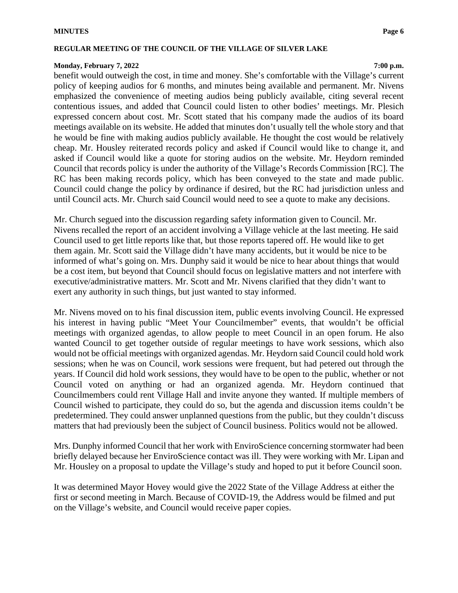#### **Monday, February 7, 2022 7:00 p.m.**

benefit would outweigh the cost, in time and money. She's comfortable with the Village's current policy of keeping audios for 6 months, and minutes being available and permanent. Mr. Nivens emphasized the convenience of meeting audios being publicly available, citing several recent contentious issues, and added that Council could listen to other bodies' meetings. Mr. Plesich expressed concern about cost. Mr. Scott stated that his company made the audios of its board meetings available on its website. He added that minutes don't usually tell the whole story and that he would be fine with making audios publicly available. He thought the cost would be relatively cheap. Mr. Housley reiterated records policy and asked if Council would like to change it, and asked if Council would like a quote for storing audios on the website. Mr. Heydorn reminded Council that records policy is under the authority of the Village's Records Commission [RC]. The RC has been making records policy, which has been conveyed to the state and made public. Council could change the policy by ordinance if desired, but the RC had jurisdiction unless and until Council acts. Mr. Church said Council would need to see a quote to make any decisions.

Mr. Church segued into the discussion regarding safety information given to Council. Mr. Nivens recalled the report of an accident involving a Village vehicle at the last meeting. He said Council used to get little reports like that, but those reports tapered off. He would like to get them again. Mr. Scott said the Village didn't have many accidents, but it would be nice to be informed of what's going on. Mrs. Dunphy said it would be nice to hear about things that would be a cost item, but beyond that Council should focus on legislative matters and not interfere with executive/administrative matters. Mr. Scott and Mr. Nivens clarified that they didn't want to exert any authority in such things, but just wanted to stay informed.

Mr. Nivens moved on to his final discussion item, public events involving Council. He expressed his interest in having public "Meet Your Councilmember" events, that wouldn't be official meetings with organized agendas, to allow people to meet Council in an open forum. He also wanted Council to get together outside of regular meetings to have work sessions, which also would not be official meetings with organized agendas. Mr. Heydorn said Council could hold work sessions; when he was on Council, work sessions were frequent, but had petered out through the years. If Council did hold work sessions, they would have to be open to the public, whether or not Council voted on anything or had an organized agenda. Mr. Heydorn continued that Councilmembers could rent Village Hall and invite anyone they wanted. If multiple members of Council wished to participate, they could do so, but the agenda and discussion items couldn't be predetermined. They could answer unplanned questions from the public, but they couldn't discuss matters that had previously been the subject of Council business. Politics would not be allowed.

Mrs. Dunphy informed Council that her work with EnviroScience concerning stormwater had been briefly delayed because her EnviroScience contact was ill. They were working with Mr. Lipan and Mr. Housley on a proposal to update the Village's study and hoped to put it before Council soon.

It was determined Mayor Hovey would give the 2022 State of the Village Address at either the first or second meeting in March. Because of COVID-19, the Address would be filmed and put on the Village's website, and Council would receive paper copies.